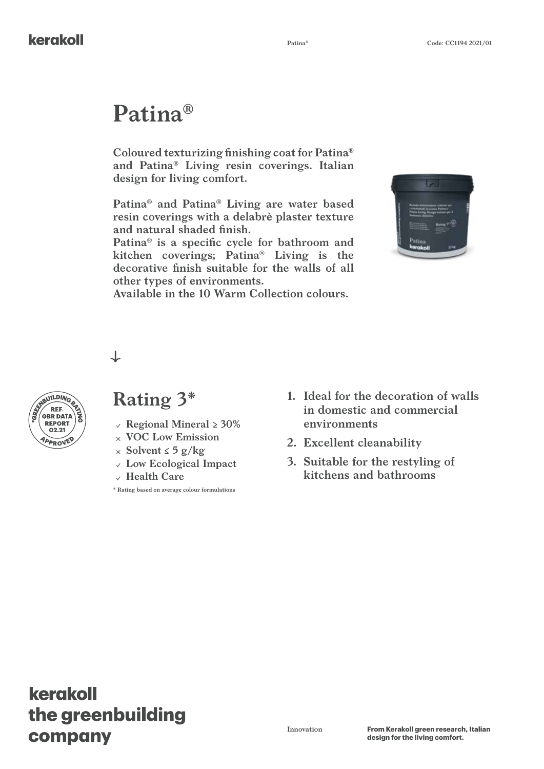# **Patina®**

**Coloured texturizing finishing coat for Patina® and Patina® Living resin coverings. Italian design for living comfort.**

**Patina® and Patina® Living are water based resin coverings with a delabrè plaster texture and natural shaded finish.**

**Patina® is a specific cycle for bathroom and kitchen coverings; Patina® Living is the decorative finish suitable for the walls of all other types of environments.**

**Available in the 10 Warm Collection colours.**



↓



### **Rating 3\***

- **REPORT**  $\left( \begin{array}{c} 0 \\ 0 \end{array} \right)$  **Regional Mineral > 30%** 
	- **VOC Low Emission**
	- **Solvent ≤ 5 g/kg**
	- **Low Ecological Impact**
	- **Health Care**

**\* Rating based on average colour formulations**

- **1. Ideal for the decoration of walls in domestic and commercial environments**
- **2. Excellent cleanability**
- **3. Suitable for the restyling of kitchens and bathrooms**

## kerakoll the greenbuilding company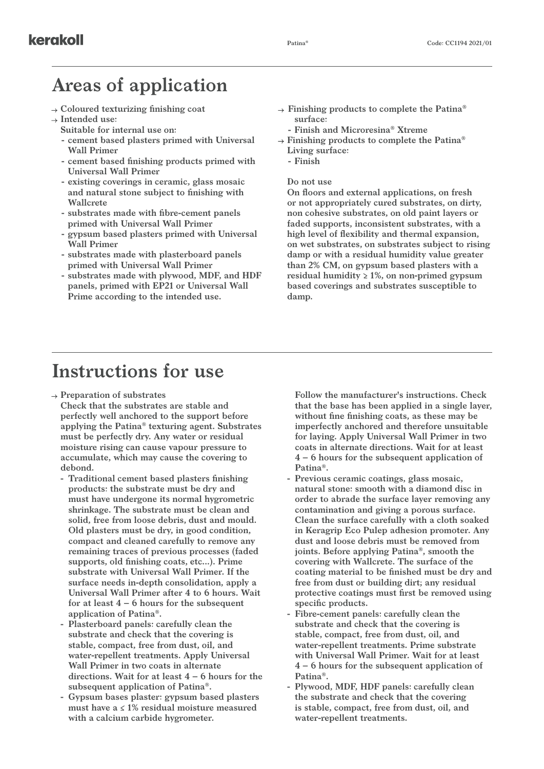### **Areas of application**

- **Coloured texturizing finishing coat**
- **Intended use:**
	- **Suitable for internal use on:**
	- **- cement based plasters primed with Universal Wall Primer**
	- **- cement based finishing products primed with Universal Wall Primer**
	- **- existing coverings in ceramic, glass mosaic and natural stone subject to finishing with Wallcrete**
	- **- substrates made with fibre-cement panels primed with Universal Wall Primer**
	- **- gypsum based plasters primed with Universal Wall Primer**
	- **- substrates made with plasterboard panels primed with Universal Wall Primer**
	- **- substrates made with plywood, MDF, and HDF panels, primed with EP21 or Universal Wall Prime according to the intended use.**

**Finishing products to complete the Patina® surface:**

**- Finish and Microresina® Xtreme**

- **Finishing products to complete the Patina® Living surface:**
	- **- Finish**

#### **Do not use**

**On floors and external applications, on fresh or not appropriately cured substrates, on dirty, non cohesive substrates, on old paint layers or faded supports, inconsistent substrates, with a high level of flexibility and thermal expansion, on wet substrates, on substrates subject to rising damp or with a residual humidity value greater than 2% CM, on gypsum based plasters with a residual humidity ≥ 1%, on non-primed gypsum based coverings and substrates susceptible to damp.**

#### **Instructions for use**

**Preparation of substrates**

**Check that the substrates are stable and perfectly well anchored to the support before applying the Patina® texturing agent. Substrates must be perfectly dry. Any water or residual moisture rising can cause vapour pressure to accumulate, which may cause the covering to debond.**

- **- Traditional cement based plasters finishing products: the substrate must be dry and must have undergone its normal hygrometric shrinkage. The substrate must be clean and solid, free from loose debris, dust and mould. Old plasters must be dry, in good condition, compact and cleaned carefully to remove any remaining traces of previous processes (faded supports, old finishing coats, etc...). Prime substrate with Universal Wall Primer. If the surface needs in-depth consolidation, apply a Universal Wall Primer after 4 to 6 hours. Wait for at least 4 – 6 hours for the subsequent application of Patina®.**
- **- Plasterboard panels: carefully clean the substrate and check that the covering is stable, compact, free from dust, oil, and water-repellent treatments. Apply Universal Wall Primer in two coats in alternate directions. Wait for at least 4 – 6 hours for the subsequent application of Patina®.**
- **- Gypsum bases plaster: gypsum based plasters must have a ≤ 1% residual moisture measured with a calcium carbide hygrometer.**

**Follow the manufacturer's instructions. Check that the base has been applied in a single layer, without fine finishing coats, as these may be imperfectly anchored and therefore unsuitable for laying. Apply Universal Wall Primer in two coats in alternate directions. Wait for at least 4 – 6 hours for the subsequent application of Patina®.**

- **- Previous ceramic coatings, glass mosaic, natural stone: smooth with a diamond disc in order to abrade the surface layer removing any contamination and giving a porous surface. Clean the surface carefully with a cloth soaked in Keragrip Eco Pulep adhesion promoter. Any dust and loose debris must be removed from joints. Before applying Patina®, smooth the covering with Wallcrete. The surface of the coating material to be finished must be dry and free from dust or building dirt; any residual protective coatings must first be removed using specific products.**
- **- Fibre-cement panels: carefully clean the substrate and check that the covering is stable, compact, free from dust, oil, and water-repellent treatments. Prime substrate with Universal Wall Primer. Wait for at least 4 – 6 hours for the subsequent application of Patina®.**
- **- Plywood, MDF, HDF panels: carefully clean the substrate and check that the covering is stable, compact, free from dust, oil, and water-repellent treatments.**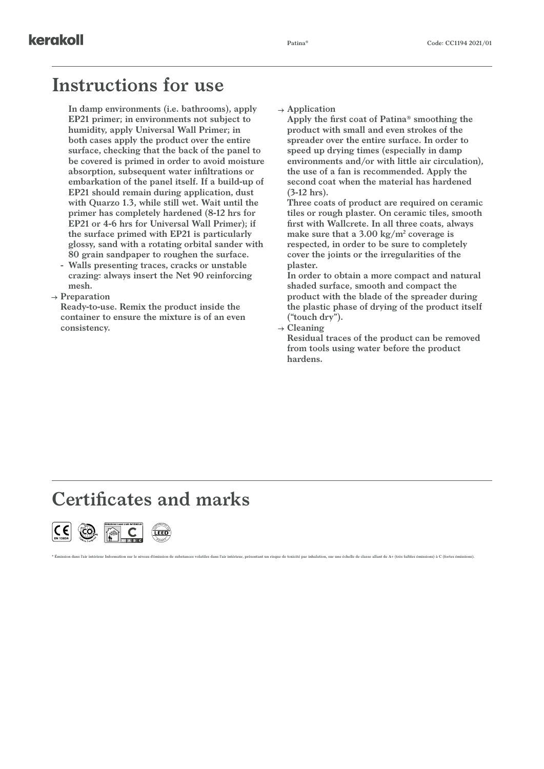#### **Instructions for use**

**In damp environments (i.e. bathrooms), apply EP21 primer; in environments not subject to humidity, apply Universal Wall Primer; in both cases apply the product over the entire surface, checking that the back of the panel to be covered is primed in order to avoid moisture absorption, subsequent water infiltrations or embarkation of the panel itself. If a build-up of EP21 should remain during application, dust with Quarzo 1.3, while still wet. Wait until the primer has completely hardened (8-12 hrs for EP21 or 4-6 hrs for Universal Wall Primer); if the surface primed with EP21 is particularly glossy, sand with a rotating orbital sander with 80 grain sandpaper to roughen the surface.**

- **- Walls presenting traces, cracks or unstable crazing: always insert the Net 90 reinforcing mesh.**
- **Preparation**

**Ready-to-use. Remix the product inside the container to ensure the mixture is of an even consistency.**

**Application**

**Apply the first coat of Patina® smoothing the product with small and even strokes of the spreader over the entire surface. In order to speed up drying times (especially in damp environments and/or with little air circulation), the use of a fan is recommended. Apply the second coat when the material has hardened (3-12 hrs).**

**Three coats of product are required on ceramic tiles or rough plaster. On ceramic tiles, smooth first with Wallcrete. In all three coats, always make sure that a 3.00 kg/m2 coverage is respected, in order to be sure to completely cover the joints or the irregularities of the plaster.**

**In order to obtain a more compact and natural shaded surface, smooth and compact the product with the blade of the spreader during the plastic phase of drying of the product itself ("touch dry").**

**Cleaning**

on dans l'air intérieur Information sur le niveau d'émission de substances volatiles dans l'air intérieur, présentant un risque de toxicité par inhalation, sur une échelle de classe allant de A+ (très faibles émissions) à

**Residual traces of the product can be removed from tools using water before the product hardens.**

### **Certificates and marks**